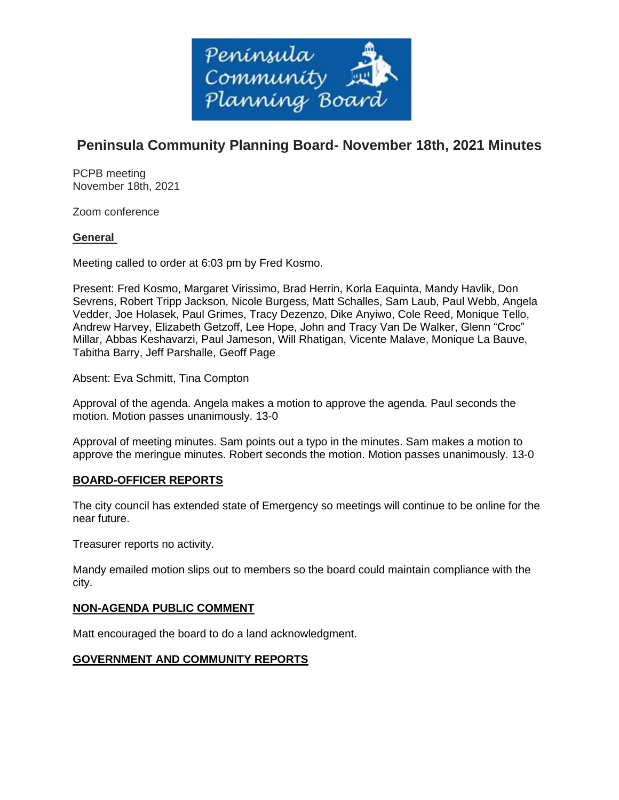

# **Peninsula Community Planning Board- November 18th, 2021 Minutes**

PCPB meeting November 18th, 2021

Zoom conference

# **General**

Meeting called to order at 6:03 pm by Fred Kosmo.

Present: Fred Kosmo, Margaret Virissimo, Brad Herrin, Korla Eaquinta, Mandy Havlik, Don Sevrens, Robert Tripp Jackson, Nicole Burgess, Matt Schalles, Sam Laub, Paul Webb, Angela Vedder, Joe Holasek, Paul Grimes, Tracy Dezenzo, Dike Anyiwo, Cole Reed, Monique Tello, Andrew Harvey, Elizabeth Getzoff, Lee Hope, John and Tracy Van De Walker, Glenn "Croc" Millar, Abbas Keshavarzi, Paul Jameson, Will Rhatigan, Vicente Malave, Monique La Bauve, Tabitha Barry, Jeff Parshalle, Geoff Page

Absent: Eva Schmitt, Tina Compton

Approval of the agenda. Angela makes a motion to approve the agenda. Paul seconds the motion. Motion passes unanimously. 13-0

Approval of meeting minutes. Sam points out a typo in the minutes. Sam makes a motion to approve the meringue minutes. Robert seconds the motion. Motion passes unanimously. 13-0

# **BOARD-OFFICER REPORTS**

The city council has extended state of Emergency so meetings will continue to be online for the near future.

Treasurer reports no activity.

Mandy emailed motion slips out to members so the board could maintain compliance with the city.

# **NON-AGENDA PUBLIC COMMENT**

Matt encouraged the board to do a land acknowledgment.

# **GOVERNMENT AND COMMUNITY REPORTS**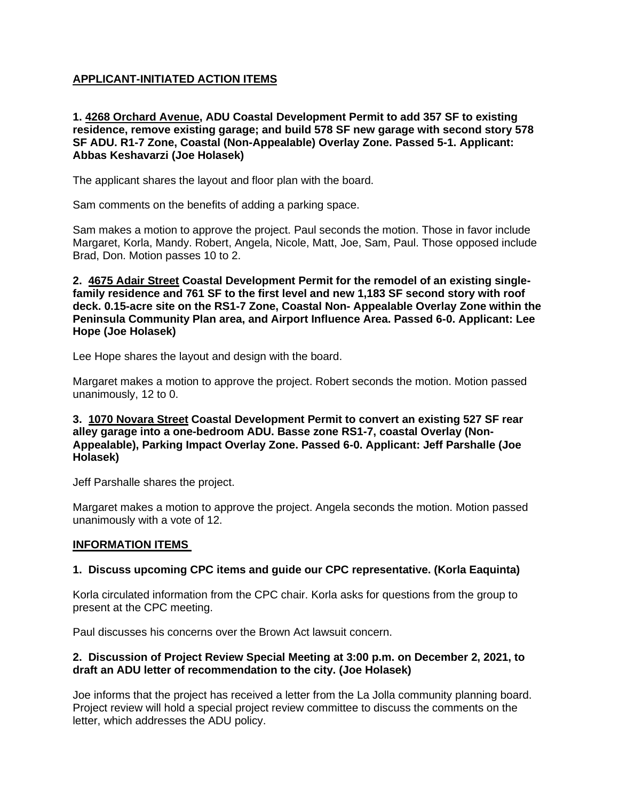# **APPLICANT-INITIATED ACTION ITEMS**

**1. 4268 Orchard Avenue, ADU Coastal Development Permit to add 357 SF to existing residence, remove existing garage; and build 578 SF new garage with second story 578 SF ADU. R1-7 Zone, Coastal (Non-Appealable) Overlay Zone. Passed 5-1. Applicant: Abbas Keshavarzi (Joe Holasek)**

The applicant shares the layout and floor plan with the board.

Sam comments on the benefits of adding a parking space.

Sam makes a motion to approve the project. Paul seconds the motion. Those in favor include Margaret, Korla, Mandy. Robert, Angela, Nicole, Matt, Joe, Sam, Paul. Those opposed include Brad, Don. Motion passes 10 to 2.

**2. 4675 Adair Street Coastal Development Permit for the remodel of an existing singlefamily residence and 761 SF to the first level and new 1,183 SF second story with roof deck. 0.15-acre site on the RS1-7 Zone, Coastal Non- Appealable Overlay Zone within the Peninsula Community Plan area, and Airport Influence Area. Passed 6-0. Applicant: Lee Hope (Joe Holasek)**

Lee Hope shares the layout and design with the board.

Margaret makes a motion to approve the project. Robert seconds the motion. Motion passed unanimously, 12 to 0.

# **3. 1070 Novara Street Coastal Development Permit to convert an existing 527 SF rear alley garage into a one-bedroom ADU. Basse zone RS1-7, coastal Overlay (Non-Appealable), Parking Impact Overlay Zone. Passed 6-0. Applicant: Jeff Parshalle (Joe Holasek)**

Jeff Parshalle shares the project.

Margaret makes a motion to approve the project. Angela seconds the motion. Motion passed unanimously with a vote of 12.

# **INFORMATION ITEMS**

# **1. Discuss upcoming CPC items and guide our CPC representative. (Korla Eaquinta)**

Korla circulated information from the CPC chair. Korla asks for questions from the group to present at the CPC meeting.

Paul discusses his concerns over the Brown Act lawsuit concern.

# **2. Discussion of Project Review Special Meeting at 3:00 p.m. on December 2, 2021, to draft an ADU letter of recommendation to the city. (Joe Holasek)**

Joe informs that the project has received a letter from the La Jolla community planning board. Project review will hold a special project review committee to discuss the comments on the letter, which addresses the ADU policy.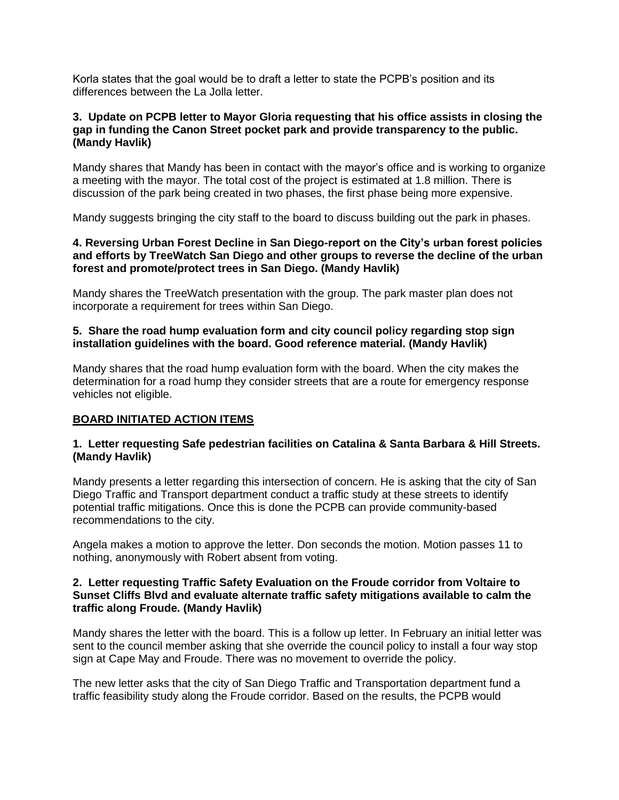Korla states that the goal would be to draft a letter to state the PCPB's position and its differences between the La Jolla letter.

#### **3. Update on PCPB letter to Mayor Gloria requesting that his office assists in closing the gap in funding the Canon Street pocket park and provide transparency to the public. (Mandy Havlik)**

Mandy shares that Mandy has been in contact with the mayor's office and is working to organize a meeting with the mayor. The total cost of the project is estimated at 1.8 million. There is discussion of the park being created in two phases, the first phase being more expensive.

Mandy suggests bringing the city staff to the board to discuss building out the park in phases.

#### **4. Reversing Urban Forest Decline in San Diego-report on the City's urban forest policies and efforts by TreeWatch San Diego and other groups to reverse the decline of the urban forest and promote/protect trees in San Diego. (Mandy Havlik)**

Mandy shares the TreeWatch presentation with the group. The park master plan does not incorporate a requirement for trees within San Diego.

# **5. Share the road hump evaluation form and city council policy regarding stop sign installation guidelines with the board. Good reference material. (Mandy Havlik)**

Mandy shares that the road hump evaluation form with the board. When the city makes the determination for a road hump they consider streets that are a route for emergency response vehicles not eligible.

# **BOARD INITIATED ACTION ITEMS**

#### **1. Letter requesting Safe pedestrian facilities on Catalina & Santa Barbara & Hill Streets. (Mandy Havlik)**

Mandy presents a letter regarding this intersection of concern. He is asking that the city of San Diego Traffic and Transport department conduct a traffic study at these streets to identify potential traffic mitigations. Once this is done the PCPB can provide community-based recommendations to the city.

Angela makes a motion to approve the letter. Don seconds the motion. Motion passes 11 to nothing, anonymously with Robert absent from voting.

#### **2. Letter requesting Traffic Safety Evaluation on the Froude corridor from Voltaire to Sunset Cliffs Blvd and evaluate alternate traffic safety mitigations available to calm the traffic along Froude. (Mandy Havlik)**

Mandy shares the letter with the board. This is a follow up letter. In February an initial letter was sent to the council member asking that she override the council policy to install a four way stop sign at Cape May and Froude. There was no movement to override the policy.

The new letter asks that the city of San Diego Traffic and Transportation department fund a traffic feasibility study along the Froude corridor. Based on the results, the PCPB would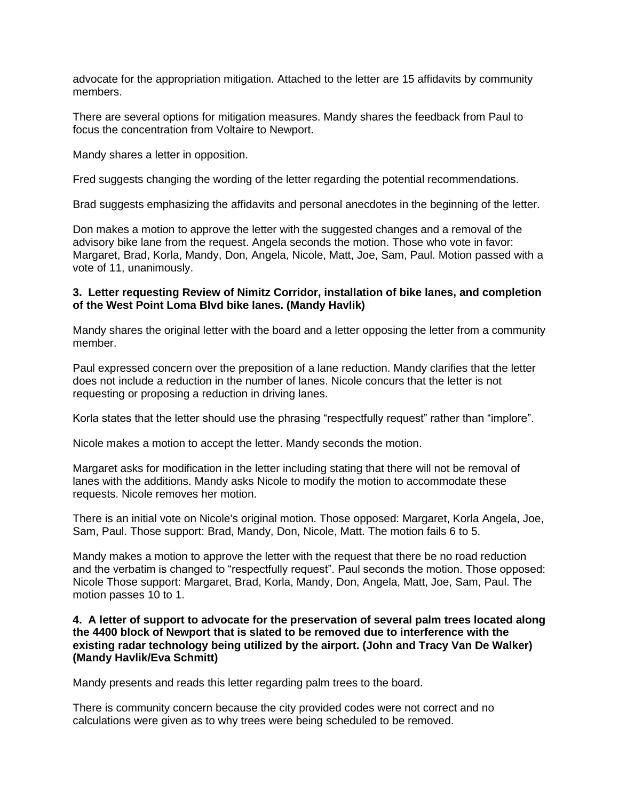advocate for the appropriation mitigation. Attached to the letter are 15 affidavits by community members.

There are several options for mitigation measures. Mandy shares the feedback from Paul to focus the concentration from Voltaire to Newport.

Mandy shares a letter in opposition.

Fred suggests changing the wording of the letter regarding the potential recommendations.

Brad suggests emphasizing the affidavits and personal anecdotes in the beginning of the letter.

Don makes a motion to approve the letter with the suggested changes and a removal of the advisory bike lane from the request. Angela seconds the motion. Those who vote in favor: Margaret, Brad, Korla, Mandy, Don, Angela, Nicole, Matt, Joe, Sam, Paul. Motion passed with a vote of 11, unanimously.

# **3. Letter requesting Review of Nimitz Corridor, installation of bike lanes, and completion of the West Point Loma Blvd bike lanes. (Mandy Havlik)**

Mandy shares the original letter with the board and a letter opposing the letter from a community member.

Paul expressed concern over the preposition of a lane reduction. Mandy clarifies that the letter does not include a reduction in the number of lanes. Nicole concurs that the letter is not requesting or proposing a reduction in driving lanes.

Korla states that the letter should use the phrasing "respectfully request" rather than "implore".

Nicole makes a motion to accept the letter. Mandy seconds the motion.

Margaret asks for modification in the letter including stating that there will not be removal of lanes with the additions. Mandy asks Nicole to modify the motion to accommodate these requests. Nicole removes her motion.

There is an initial vote on Nicole's original motion. Those opposed: Margaret, Korla Angela, Joe, Sam, Paul. Those support: Brad, Mandy, Don, Nicole, Matt. The motion fails 6 to 5.

Mandy makes a motion to approve the letter with the request that there be no road reduction and the verbatim is changed to "respectfully request". Paul seconds the motion. Those opposed: Nicole Those support: Margaret, Brad, Korla, Mandy, Don, Angela, Matt, Joe, Sam, Paul. The motion passes 10 to 1.

#### **4. A letter of support to advocate for the preservation of several palm trees located along the 4400 block of Newport that is slated to be removed due to interference with the existing radar technology being utilized by the airport. (John and Tracy Van De Walker) (Mandy Havlik/Eva Schmitt)**

Mandy presents and reads this letter regarding palm trees to the board.

There is community concern because the city provided codes were not correct and no calculations were given as to why trees were being scheduled to be removed.